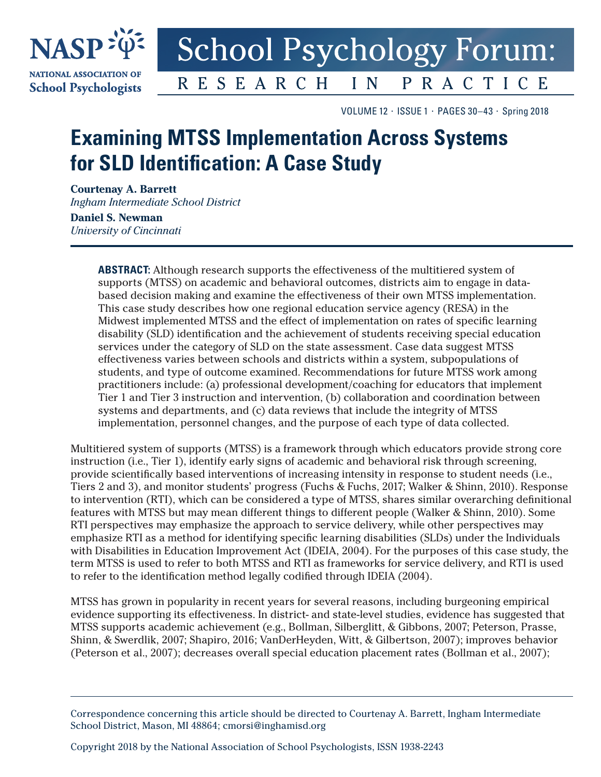

## **School Psychology Forum: RESEARCH** PRACTICE  $I N$

VOLUME 12 ⋅ ISSUE 1 ⋅ PAGES 30–43 ⋅ Spring 2018

# **Examining MTSS Implementation Across Systems for SLD Identification: A Case Study**

**Courtenay A. Barrett** *Ingham Intermediate School District*

**Daniel S. Newman** *University of Cincinnati*

> **ABSTRACT:** Although research supports the effectiveness of the multitiered system of supports (MTSS) on academic and behavioral outcomes, districts aim to engage in databased decision making and examine the effectiveness of their own MTSS implementation. This case study describes how one regional education service agency (RESA) in the Midwest implemented MTSS and the effect of implementation on rates of specific learning disability (SLD) identification and the achievement of students receiving special education services under the category of SLD on the state assessment. Case data suggest MTSS effectiveness varies between schools and districts within a system, subpopulations of students, and type of outcome examined. Recommendations for future MTSS work among practitioners include: (a) professional development/coaching for educators that implement Tier 1 and Tier 3 instruction and intervention, (b) collaboration and coordination between systems and departments, and (c) data reviews that include the integrity of MTSS implementation, personnel changes, and the purpose of each type of data collected.

Multitiered system of supports (MTSS) is a framework through which educators provide strong core instruction (i.e., Tier 1), identify early signs of academic and behavioral risk through screening, provide scientifically based interventions of increasing intensity in response to student needs (i.e., Tiers 2 and 3), and monitor students' progress (Fuchs & Fuchs, 2017; Walker & Shinn, 2010). Response to intervention (RTI), which can be considered a type of MTSS, shares similar overarching definitional features with MTSS but may mean different things to different people (Walker & Shinn, 2010). Some RTI perspectives may emphasize the approach to service delivery, while other perspectives may emphasize RTI as a method for identifying specific learning disabilities (SLDs) under the Individuals with Disabilities in Education Improvement Act (IDEIA, 2004). For the purposes of this case study, the term MTSS is used to refer to both MTSS and RTI as frameworks for service delivery, and RTI is used to refer to the identification method legally codified through IDEIA (2004).

MTSS has grown in popularity in recent years for several reasons, including burgeoning empirical evidence supporting its effectiveness. In district- and state-level studies, evidence has suggested that MTSS supports academic achievement (e.g., Bollman, Silberglitt, & Gibbons, 2007; Peterson, Prasse, Shinn, & Swerdlik, 2007; Shapiro, 2016; VanDerHeyden, Witt, & Gilbertson, 2007); improves behavior (Peterson et al., 2007); decreases overall special education placement rates (Bollman et al., 2007);

Copyright 2018 by the National Association of School Psychologists, ISSN 1938-2243

Correspondence concerning this article should be directed to Courtenay A. Barrett, Ingham Intermediate School District, Mason, MI 48864; [cmorsi@inghamisd.org](mailto://cmorsi@inghamisd.org)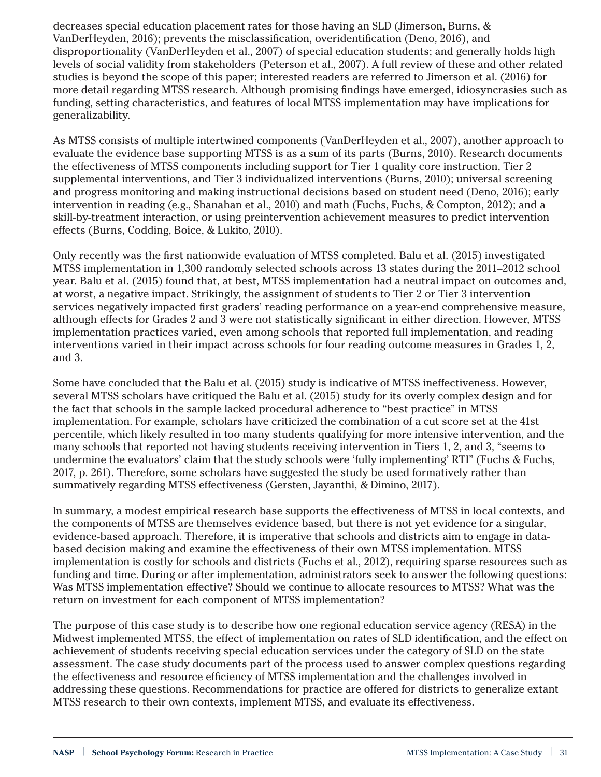decreases special education placement rates for those having an SLD (Jimerson, Burns, & VanDerHeyden, 2016); prevents the misclassification, overidentification (Deno, 2016), and disproportionality (VanDerHeyden et al., 2007) of special education students; and generally holds high levels of social validity from stakeholders (Peterson et al., 2007). A full review of these and other related studies is beyond the scope of this paper; interested readers are referred to Jimerson et al. (2016) for more detail regarding MTSS research. Although promising findings have emerged, idiosyncrasies such as funding, setting characteristics, and features of local MTSS implementation may have implications for generalizability.

As MTSS consists of multiple intertwined components (VanDerHeyden et al., 2007), another approach to evaluate the evidence base supporting MTSS is as a sum of its parts (Burns, 2010). Research documents the effectiveness of MTSS components including support for Tier 1 quality core instruction, Tier 2 supplemental interventions, and Tier 3 individualized interventions (Burns, 2010); universal screening and progress monitoring and making instructional decisions based on student need (Deno, 2016); early intervention in reading (e.g., Shanahan et al., 2010) and math (Fuchs, Fuchs, & Compton, 2012); and a skill-by-treatment interaction, or using preintervention achievement measures to predict intervention effects (Burns, Codding, Boice, & Lukito, 2010).

Only recently was the first nationwide evaluation of MTSS completed. Balu et al. (2015) investigated MTSS implementation in 1,300 randomly selected schools across 13 states during the 2011–2012 school year. Balu et al. (2015) found that, at best, MTSS implementation had a neutral impact on outcomes and, at worst, a negative impact. Strikingly, the assignment of students to Tier 2 or Tier 3 intervention services negatively impacted first graders' reading performance on a year-end comprehensive measure, although effects for Grades 2 and 3 were not statistically significant in either direction. However, MTSS implementation practices varied, even among schools that reported full implementation, and reading interventions varied in their impact across schools for four reading outcome measures in Grades 1, 2, and 3.

Some have concluded that the Balu et al. (2015) study is indicative of MTSS ineffectiveness. However, several MTSS scholars have critiqued the Balu et al. (2015) study for its overly complex design and for the fact that schools in the sample lacked procedural adherence to "best practice" in MTSS implementation. For example, scholars have criticized the combination of a cut score set at the 41st percentile, which likely resulted in too many students qualifying for more intensive intervention, and the many schools that reported not having students receiving intervention in Tiers 1, 2, and 3, "seems to undermine the evaluators' claim that the study schools were 'fully implementing' RTI" (Fuchs & Fuchs, 2017, p. 261). Therefore, some scholars have suggested the study be used formatively rather than summatively regarding MTSS effectiveness (Gersten, Jayanthi, & Dimino, 2017).

In summary, a modest empirical research base supports the effectiveness of MTSS in local contexts, and the components of MTSS are themselves evidence based, but there is not yet evidence for a singular, evidence-based approach. Therefore, it is imperative that schools and districts aim to engage in databased decision making and examine the effectiveness of their own MTSS implementation. MTSS implementation is costly for schools and districts (Fuchs et al., 2012), requiring sparse resources such as funding and time. During or after implementation, administrators seek to answer the following questions: Was MTSS implementation effective? Should we continue to allocate resources to MTSS? What was the return on investment for each component of MTSS implementation?

The purpose of this case study is to describe how one regional education service agency (RESA) in the Midwest implemented MTSS, the effect of implementation on rates of SLD identification, and the effect on achievement of students receiving special education services under the category of SLD on the state assessment. The case study documents part of the process used to answer complex questions regarding the effectiveness and resource efficiency of MTSS implementation and the challenges involved in addressing these questions. Recommendations for practice are offered for districts to generalize extant MTSS research to their own contexts, implement MTSS, and evaluate its effectiveness.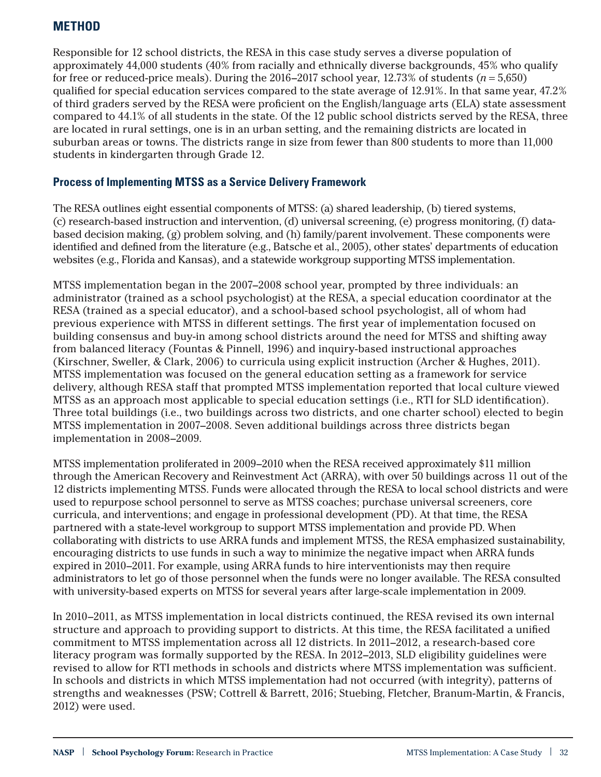## **METHOD**

Responsible for 12 school districts, the RESA in this case study serves a diverse population of approximately 44,000 students (40% from racially and ethnically diverse backgrounds, 45% who qualify for free or reduced-price meals). During the  $2016-2017$  school year,  $12.73\%$  of students ( $n = 5,650$ ) qualified for special education services compared to the state average of 12.91%. In that same year, 47.2% of third graders served by the RESA were proficient on the English/language arts (ELA) state assessment compared to 44.1% of all students in the state. Of the 12 public school districts served by the RESA, three are located in rural settings, one is in an urban setting, and the remaining districts are located in suburban areas or towns. The districts range in size from fewer than 800 students to more than 11,000 students in kindergarten through Grade 12.

#### **Process of Implementing MTSS as a Service Delivery Framework**

The RESA outlines eight essential components of MTSS: (a) shared leadership, (b) tiered systems, (c) research-based instruction and intervention, (d) universal screening, (e) progress monitoring, (f) databased decision making, (g) problem solving, and (h) family/parent involvement. These components were identified and defined from the literature (e.g., Batsche et al., 2005), other states' departments of education websites (e.g., Florida and Kansas), and a statewide workgroup supporting MTSS implementation.

MTSS implementation began in the 2007–2008 school year, prompted by three individuals: an administrator (trained as a school psychologist) at the RESA, a special education coordinator at the RESA (trained as a special educator), and a school-based school psychologist, all of whom had previous experience with MTSS in different settings. The first year of implementation focused on building consensus and buy-in among school districts around the need for MTSS and shifting away from balanced literacy (Fountas & Pinnell, 1996) and inquiry-based instructional approaches (Kirschner, Sweller, & Clark, 2006) to curricula using explicit instruction (Archer & Hughes, 2011). MTSS implementation was focused on the general education setting as a framework for service delivery, although RESA staff that prompted MTSS implementation reported that local culture viewed MTSS as an approach most applicable to special education settings (i.e., RTI for SLD identification). Three total buildings (i.e., two buildings across two districts, and one charter school) elected to begin MTSS implementation in 2007–2008. Seven additional buildings across three districts began implementation in 2008–2009.

MTSS implementation proliferated in 2009–2010 when the RESA received approximately \$11 million through the American Recovery and Reinvestment Act (ARRA), with over 50 buildings across 11 out of the 12 districts implementing MTSS. Funds were allocated through the RESA to local school districts and were used to repurpose school personnel to serve as MTSS coaches; purchase universal screeners, core curricula, and interventions; and engage in professional development (PD). At that time, the RESA partnered with a state-level workgroup to support MTSS implementation and provide PD. When collaborating with districts to use ARRA funds and implement MTSS, the RESA emphasized sustainability, encouraging districts to use funds in such a way to minimize the negative impact when ARRA funds expired in 2010–2011. For example, using ARRA funds to hire interventionists may then require administrators to let go of those personnel when the funds were no longer available. The RESA consulted with university-based experts on MTSS for several years after large-scale implementation in 2009.

In 2010–2011, as MTSS implementation in local districts continued, the RESA revised its own internal structure and approach to providing support to districts. At this time, the RESA facilitated a unified commitment to MTSS implementation across all 12 districts. In 2011–2012, a research-based core literacy program was formally supported by the RESA. In 2012–2013, SLD eligibility guidelines were revised to allow for RTI methods in schools and districts where MTSS implementation was sufficient. In schools and districts in which MTSS implementation had not occurred (with integrity), patterns of strengths and weaknesses (PSW; Cottrell & Barrett, 2016; Stuebing, Fletcher, Branum-Martin, & Francis, 2012) were used.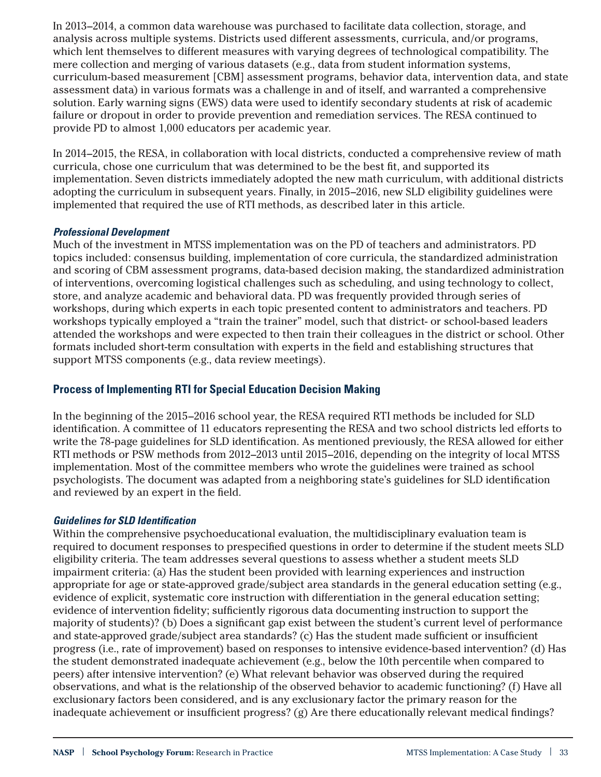In 2013–2014, a common data warehouse was purchased to facilitate data collection, storage, and analysis across multiple systems. Districts used different assessments, curricula, and/or programs, which lent themselves to different measures with varying degrees of technological compatibility. The mere collection and merging of various datasets (e.g., data from student information systems, curriculum-based measurement [CBM] assessment programs, behavior data, intervention data, and state assessment data) in various formats was a challenge in and of itself, and warranted a comprehensive solution. Early warning signs (EWS) data were used to identify secondary students at risk of academic failure or dropout in order to provide prevention and remediation services. The RESA continued to provide PD to almost 1,000 educators per academic year.

In 2014–2015, the RESA, in collaboration with local districts, conducted a comprehensive review of math curricula, chose one curriculum that was determined to be the best fit, and supported its implementation. Seven districts immediately adopted the new math curriculum, with additional districts adopting the curriculum in subsequent years. Finally, in 2015–2016, new SLD eligibility guidelines were implemented that required the use of RTI methods, as described later in this article.

#### *Professional Development*

Much of the investment in MTSS implementation was on the PD of teachers and administrators. PD topics included: consensus building, implementation of core curricula, the standardized administration and scoring of CBM assessment programs, data-based decision making, the standardized administration of interventions, overcoming logistical challenges such as scheduling, and using technology to collect, store, and analyze academic and behavioral data. PD was frequently provided through series of workshops, during which experts in each topic presented content to administrators and teachers. PD workshops typically employed a "train the trainer" model, such that district- or school-based leaders attended the workshops and were expected to then train their colleagues in the district or school. Other formats included short-term consultation with experts in the field and establishing structures that support MTSS components (e.g., data review meetings).

#### **Process of Implementing RTI for Special Education Decision Making**

In the beginning of the 2015–2016 school year, the RESA required RTI methods be included for SLD identification. A committee of 11 educators representing the RESA and two school districts led efforts to write the 78-page guidelines for SLD identification. As mentioned previously, the RESA allowed for either RTI methods or PSW methods from 2012–2013 until 2015–2016, depending on the integrity of local MTSS implementation. Most of the committee members who wrote the guidelines were trained as school psychologists. The document was adapted from a neighboring state's guidelines for SLD identification and reviewed by an expert in the field.

#### *Guidelines for SLD Identification*

Within the comprehensive psychoeducational evaluation, the multidisciplinary evaluation team is required to document responses to prespecified questions in order to determine if the student meets SLD eligibility criteria. The team addresses several questions to assess whether a student meets SLD impairment criteria: (a) Has the student been provided with learning experiences and instruction appropriate for age or state-approved grade/subject area standards in the general education setting (e.g., evidence of explicit, systematic core instruction with differentiation in the general education setting; evidence of intervention fidelity; sufficiently rigorous data documenting instruction to support the majority of students)? (b) Does a significant gap exist between the student's current level of performance and state-approved grade/subject area standards? (c) Has the student made sufficient or insufficient progress (i.e., rate of improvement) based on responses to intensive evidence-based intervention? (d) Has the student demonstrated inadequate achievement (e.g., below the 10th percentile when compared to peers) after intensive intervention? (e) What relevant behavior was observed during the required observations, and what is the relationship of the observed behavior to academic functioning? (f) Have all exclusionary factors been considered, and is any exclusionary factor the primary reason for the inadequate achievement or insufficient progress? (g) Are there educationally relevant medical findings?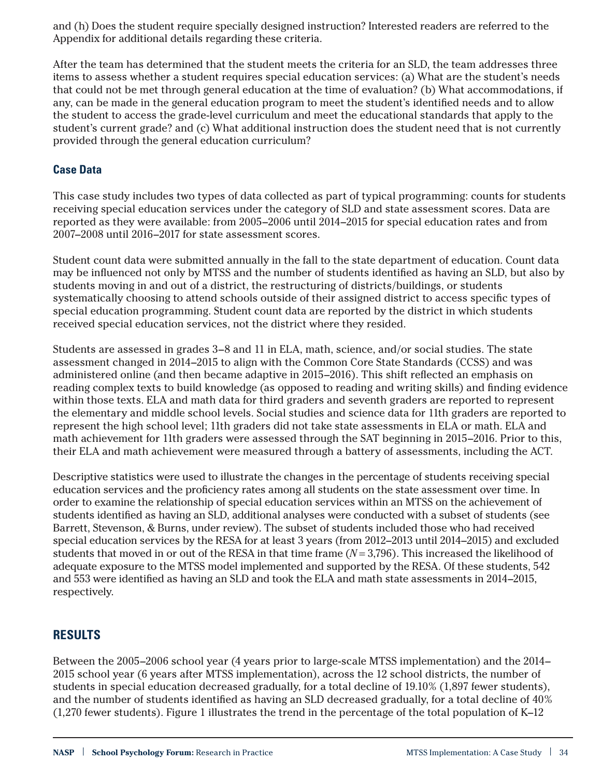and (h) Does the student require specially designed instruction? Interested readers are referred to the Appendix for additional details regarding these criteria.

After the team has determined that the student meets the criteria for an SLD, the team addresses three items to assess whether a student requires special education services: (a) What are the student's needs that could not be met through general education at the time of evaluation? (b) What accommodations, if any, can be made in the general education program to meet the student's identified needs and to allow the student to access the grade-level curriculum and meet the educational standards that apply to the student's current grade? and (c) What additional instruction does the student need that is not currently provided through the general education curriculum?

#### **Case Data**

This case study includes two types of data collected as part of typical programming: counts for students receiving special education services under the category of SLD and state assessment scores. Data are reported as they were available: from 2005–2006 until 2014–2015 for special education rates and from 2007–2008 until 2016–2017 for state assessment scores.

Student count data were submitted annually in the fall to the state department of education. Count data may be influenced not only by MTSS and the number of students identified as having an SLD, but also by students moving in and out of a district, the restructuring of districts/buildings, or students systematically choosing to attend schools outside of their assigned district to access specific types of special education programming. Student count data are reported by the district in which students received special education services, not the district where they resided.

Students are assessed in grades 3–8 and 11 in ELA, math, science, and/or social studies. The state assessment changed in 2014–2015 to align with the Common Core State Standards (CCSS) and was administered online (and then became adaptive in 2015–2016). This shift reflected an emphasis on reading complex texts to build knowledge (as opposed to reading and writing skills) and finding evidence within those texts. ELA and math data for third graders and seventh graders are reported to represent the elementary and middle school levels. Social studies and science data for 11th graders are reported to represent the high school level; 11th graders did not take state assessments in ELA or math. ELA and math achievement for 11th graders were assessed through the SAT beginning in 2015–2016. Prior to this, their ELA and math achievement were measured through a battery of assessments, including the ACT.

Descriptive statistics were used to illustrate the changes in the percentage of students receiving special education services and the proficiency rates among all students on the state assessment over time. In order to examine the relationship of special education services within an MTSS on the achievement of students identified as having an SLD, additional analyses were conducted with a subset of students (see Barrett, Stevenson, & Burns, under review). The subset of students included those who had received special education services by the RESA for at least 3 years (from 2012–2013 until 2014–2015) and excluded students that moved in or out of the RESA in that time frame (*N* = 3,796). This increased the likelihood of adequate exposure to the MTSS model implemented and supported by the RESA. Of these students, 542 and 553 were identified as having an SLD and took the ELA and math state assessments in 2014–2015, respectively.

## **RESULTS**

Between the 2005–2006 school year (4 years prior to large-scale MTSS implementation) and the 2014– 2015 school year (6 years after MTSS implementation), across the 12 school districts, the number of students in special education decreased gradually, for a total decline of 19.10% (1,897 fewer students), and the number of students identified as having an SLD decreased gradually, for a total decline of 40% (1,270 fewer students). [Figure 1](#page-5-0) illustrates the trend in the percentage of the total population of K–12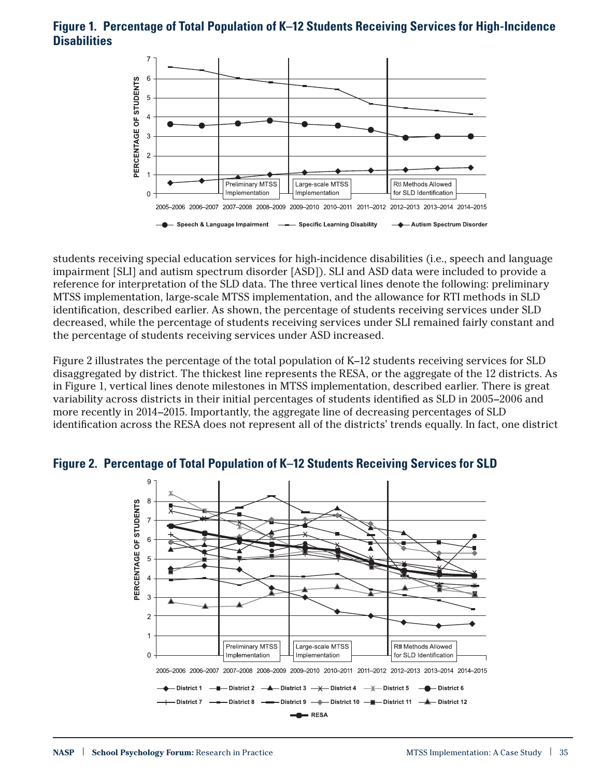#### <span id="page-5-0"></span>**Figure 1. Percentage of Total Population of K–12 Students Receiving Services for High-Incidence Disabilities**



students receiving special education services for high-incidence disabilities (i.e., speech and language impairment [SLI] and autism spectrum disorder [ASD]). SLI and ASD data were included to provide a reference for interpretation of the SLD data. The three vertical lines denote the following: preliminary MTSS implementation, large-scale MTSS implementation, and the allowance for RTI methods in SLD identification, described earlier. As shown, the percentage of students receiving services under SLD decreased, while the percentage of students receiving services under SLI remained fairly constant and the percentage of students receiving services under ASD increased.

[Figure 2](#page-5-1) illustrates the percentage of the total population of K–12 students receiving services for SLD disaggregated by district. The thickest line represents the RESA, or the aggregate of the 12 districts. As in [Figure 1,](#page-5-0) vertical lines denote milestones in MTSS implementation, described earlier. There is great variability across districts in their initial percentages of students identified as SLD in 2005–2006 and more recently in 2014–2015. Importantly, the aggregate line of decreasing percentages of SLD identification across the RESA does not represent all of the districts' trends equally. In fact, one district



## <span id="page-5-1"></span>**Figure 2. Percentage of Total Population of K–12 Students Receiving Services for SLD**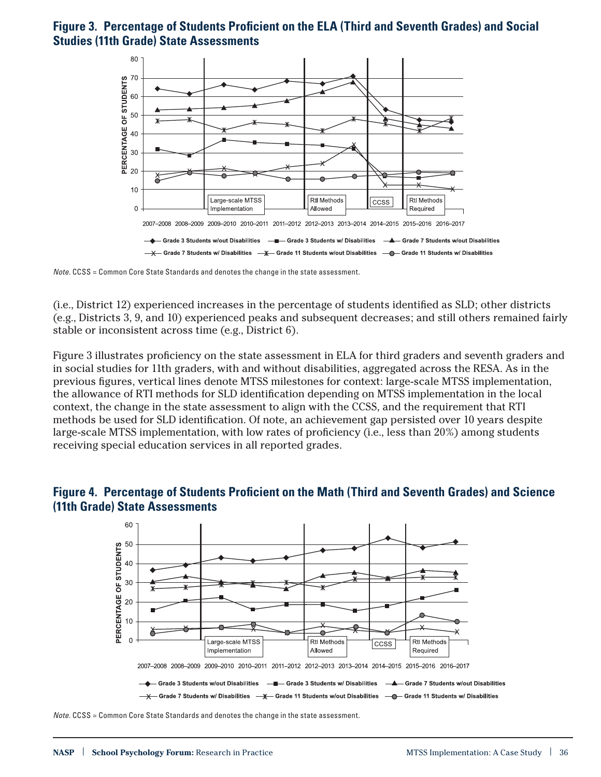## <span id="page-6-0"></span>**Figure 3. Percentage of Students Proficient on the ELA (Third and Seventh Grades) and Social Studies (11th Grade) State Assessments**



*Note*. CCSS = Common Core State Standards and denotes the change in the state assessment.

(i.e., District 12) experienced increases in the percentage of students identified as SLD; other districts (e.g., Districts 3, 9, and 10) experienced peaks and subsequent decreases; and still others remained fairly stable or inconsistent across time (e.g., District 6).

[Figure 3](#page-6-0) illustrates proficiency on the state assessment in ELA for third graders and seventh graders and in social studies for 11th graders, with and without disabilities, aggregated across the RESA. As in the previous figures, vertical lines denote MTSS milestones for context: large-scale MTSS implementation, the allowance of RTI methods for SLD identification depending on MTSS implementation in the local context, the change in the state assessment to align with the CCSS, and the requirement that RTI methods be used for SLD identification. Of note, an achievement gap persisted over 10 years despite large-scale MTSS implementation, with low rates of proficiency (i.e., less than 20%) among students receiving special education services in all reported grades.

<span id="page-6-1"></span>



*Note*. CCSS = Common Core State Standards and denotes the change in the state assessment.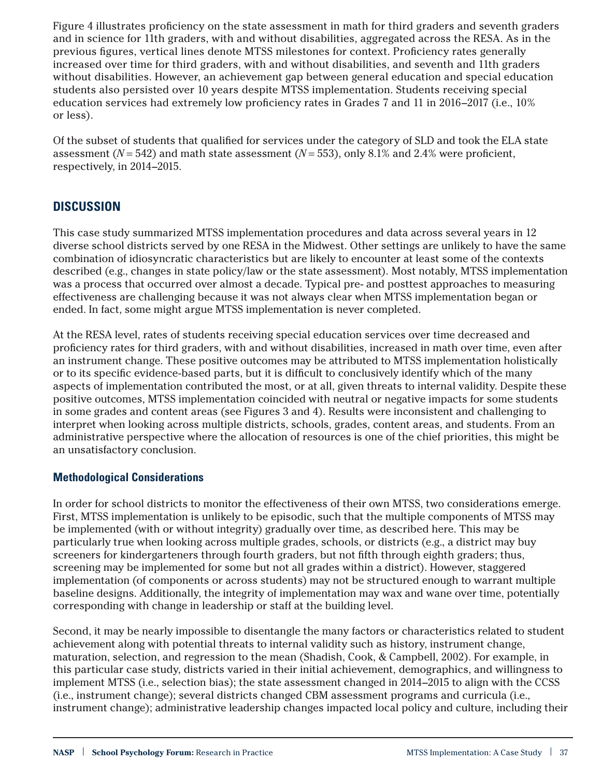[Figure 4](#page-6-1) illustrates proficiency on the state assessment in math for third graders and seventh graders and in science for 11th graders, with and without disabilities, aggregated across the RESA. As in the previous figures, vertical lines denote MTSS milestones for context. Proficiency rates generally increased over time for third graders, with and without disabilities, and seventh and 11th graders without disabilities. However, an achievement gap between general education and special education students also persisted over 10 years despite MTSS implementation. Students receiving special education services had extremely low proficiency rates in Grades 7 and 11 in 2016–2017 (i.e., 10% or less).

Of the subset of students that qualified for services under the category of SLD and took the ELA state assessment (*N* = 542) and math state assessment (*N* = 553), only 8.1% and 2.4% were proficient, respectively, in 2014–2015.

## **DISCUSSION**

This case study summarized MTSS implementation procedures and data across several years in 12 diverse school districts served by one RESA in the Midwest. Other settings are unlikely to have the same combination of idiosyncratic characteristics but are likely to encounter at least some of the contexts described (e.g., changes in state policy/law or the state assessment). Most notably, MTSS implementation was a process that occurred over almost a decade. Typical pre- and posttest approaches to measuring effectiveness are challenging because it was not always clear when MTSS implementation began or ended. In fact, some might argue MTSS implementation is never completed.

At the RESA level, rates of students receiving special education services over time decreased and proficiency rates for third graders, with and without disabilities, increased in math over time, even after an instrument change. These positive outcomes may be attributed to MTSS implementation holistically or to its specific evidence-based parts, but it is difficult to conclusively identify which of the many aspects of implementation contributed the most, or at all, given threats to internal validity. Despite these positive outcomes, MTSS implementation coincided with neutral or negative impacts for some students in some grades and content areas (see [Figures 3](#page-6-0) and [4](#page-6-1)). Results were inconsistent and challenging to interpret when looking across multiple districts, schools, grades, content areas, and students. From an administrative perspective where the allocation of resources is one of the chief priorities, this might be an unsatisfactory conclusion.

#### **Methodological Considerations**

In order for school districts to monitor the effectiveness of their own MTSS, two considerations emerge. First, MTSS implementation is unlikely to be episodic, such that the multiple components of MTSS may be implemented (with or without integrity) gradually over time, as described here. This may be particularly true when looking across multiple grades, schools, or districts (e.g., a district may buy screeners for kindergarteners through fourth graders, but not fifth through eighth graders; thus, screening may be implemented for some but not all grades within a district). However, staggered implementation (of components or across students) may not be structured enough to warrant multiple baseline designs. Additionally, the integrity of implementation may wax and wane over time, potentially corresponding with change in leadership or staff at the building level.

Second, it may be nearly impossible to disentangle the many factors or characteristics related to student achievement along with potential threats to internal validity such as history, instrument change, maturation, selection, and regression to the mean (Shadish, Cook, & Campbell, 2002). For example, in this particular case study, districts varied in their initial achievement, demographics, and willingness to implement MTSS (i.e., selection bias); the state assessment changed in 2014–2015 to align with the CCSS (i.e., instrument change); several districts changed CBM assessment programs and curricula (i.e., instrument change); administrative leadership changes impacted local policy and culture, including their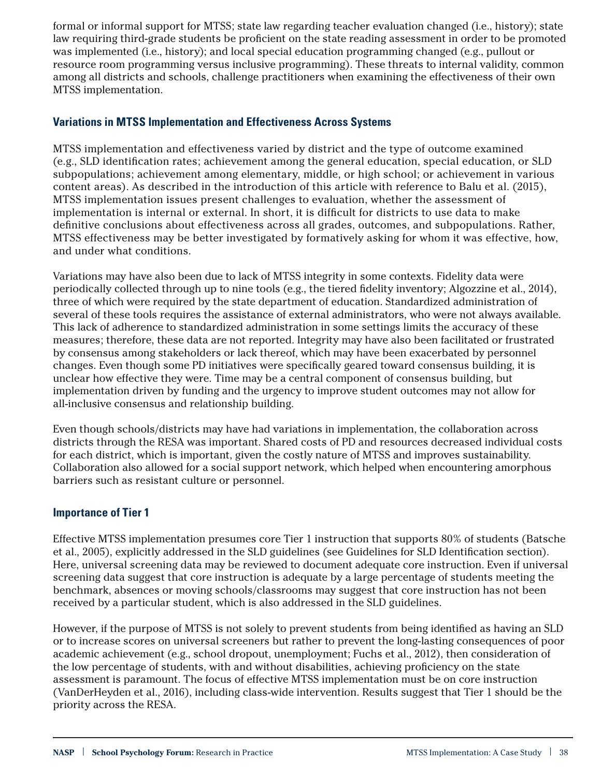formal or informal support for MTSS; state law regarding teacher evaluation changed (i.e., history); state law requiring third-grade students be proficient on the state reading assessment in order to be promoted was implemented (i.e., history); and local special education programming changed (e.g., pullout or resource room programming versus inclusive programming). These threats to internal validity, common among all districts and schools, challenge practitioners when examining the effectiveness of their own MTSS implementation.

#### **Variations in MTSS Implementation and Effectiveness Across Systems**

MTSS implementation and effectiveness varied by district and the type of outcome examined (e.g., SLD identification rates; achievement among the general education, special education, or SLD subpopulations; achievement among elementary, middle, or high school; or achievement in various content areas). As described in the introduction of this article with reference to Balu et al. (2015), MTSS implementation issues present challenges to evaluation, whether the assessment of implementation is internal or external. In short, it is difficult for districts to use data to make definitive conclusions about effectiveness across all grades, outcomes, and subpopulations. Rather, MTSS effectiveness may be better investigated by formatively asking for whom it was effective, how, and under what conditions.

Variations may have also been due to lack of MTSS integrity in some contexts. Fidelity data were periodically collected through up to nine tools (e.g., the tiered fidelity inventory; Algozzine et al., 2014), three of which were required by the state department of education. Standardized administration of several of these tools requires the assistance of external administrators, who were not always available. This lack of adherence to standardized administration in some settings limits the accuracy of these measures; therefore, these data are not reported. Integrity may have also been facilitated or frustrated by consensus among stakeholders or lack thereof, which may have been exacerbated by personnel changes. Even though some PD initiatives were specifically geared toward consensus building, it is unclear how effective they were. Time may be a central component of consensus building, but implementation driven by funding and the urgency to improve student outcomes may not allow for all-inclusive consensus and relationship building.

Even though schools/districts may have had variations in implementation, the collaboration across districts through the RESA was important. Shared costs of PD and resources decreased individual costs for each district, which is important, given the costly nature of MTSS and improves sustainability. Collaboration also allowed for a social support network, which helped when encountering amorphous barriers such as resistant culture or personnel.

#### **Importance of Tier 1**

Effective MTSS implementation presumes core Tier 1 instruction that supports 80% of students (Batsche et al., 2005), explicitly addressed in the SLD guidelines (see Guidelines for SLD Identification section). Here, universal screening data may be reviewed to document adequate core instruction. Even if universal screening data suggest that core instruction is adequate by a large percentage of students meeting the benchmark, absences or moving schools/classrooms may suggest that core instruction has not been received by a particular student, which is also addressed in the SLD guidelines.

However, if the purpose of MTSS is not solely to prevent students from being identified as having an SLD or to increase scores on universal screeners but rather to prevent the long-lasting consequences of poor academic achievement (e.g., school dropout, unemployment; Fuchs et al., 2012), then consideration of the low percentage of students, with and without disabilities, achieving proficiency on the state assessment is paramount. The focus of effective MTSS implementation must be on core instruction (VanDerHeyden et al., 2016), including class-wide intervention. Results suggest that Tier 1 should be the priority across the RESA.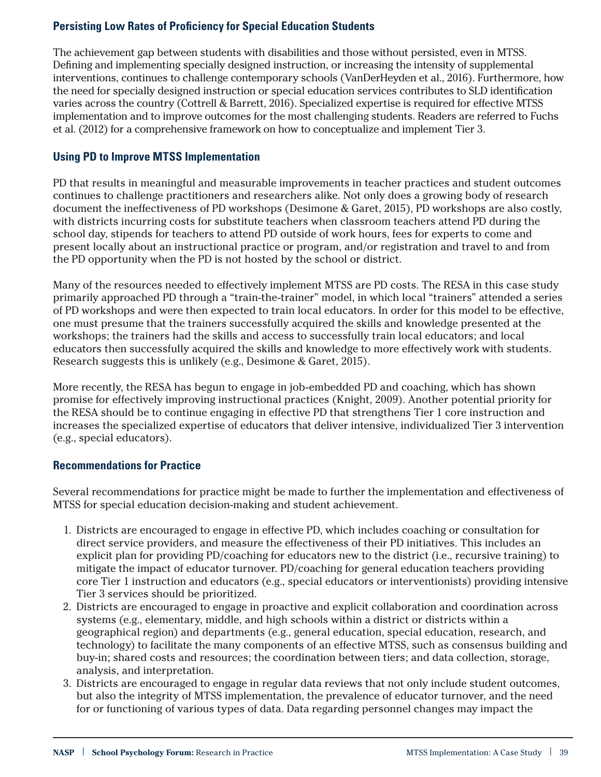## **Persisting Low Rates of Proficiency for Special Education Students**

The achievement gap between students with disabilities and those without persisted, even in MTSS. Defining and implementing specially designed instruction, or increasing the intensity of supplemental interventions, continues to challenge contemporary schools (VanDerHeyden et al., 2016). Furthermore, how the need for specially designed instruction or special education services contributes to SLD identification varies across the country (Cottrell & Barrett, 2016). Specialized expertise is required for effective MTSS implementation and to improve outcomes for the most challenging students. Readers are referred to Fuchs et al. (2012) for a comprehensive framework on how to conceptualize and implement Tier 3.

#### **Using PD to Improve MTSS Implementation**

PD that results in meaningful and measurable improvements in teacher practices and student outcomes continues to challenge practitioners and researchers alike. Not only does a growing body of research document the ineffectiveness of PD workshops (Desimone & Garet, 2015), PD workshops are also costly, with districts incurring costs for substitute teachers when classroom teachers attend PD during the school day, stipends for teachers to attend PD outside of work hours, fees for experts to come and present locally about an instructional practice or program, and/or registration and travel to and from the PD opportunity when the PD is not hosted by the school or district.

Many of the resources needed to effectively implement MTSS are PD costs. The RESA in this case study primarily approached PD through a "train-the-trainer" model, in which local "trainers" attended a series of PD workshops and were then expected to train local educators. In order for this model to be effective, one must presume that the trainers successfully acquired the skills and knowledge presented at the workshops; the trainers had the skills and access to successfully train local educators; and local educators then successfully acquired the skills and knowledge to more effectively work with students. Research suggests this is unlikely (e.g., Desimone & Garet, 2015).

More recently, the RESA has begun to engage in job-embedded PD and coaching, which has shown promise for effectively improving instructional practices (Knight, 2009). Another potential priority for the RESA should be to continue engaging in effective PD that strengthens Tier 1 core instruction and increases the specialized expertise of educators that deliver intensive, individualized Tier 3 intervention (e.g., special educators).

#### **Recommendations for Practice**

Several recommendations for practice might be made to further the implementation and effectiveness of MTSS for special education decision-making and student achievement.

- 1. Districts are encouraged to engage in effective PD, which includes coaching or consultation for direct service providers, and measure the effectiveness of their PD initiatives. This includes an explicit plan for providing PD/coaching for educators new to the district (i.e., recursive training) to mitigate the impact of educator turnover. PD/coaching for general education teachers providing core Tier 1 instruction and educators (e.g., special educators or interventionists) providing intensive Tier 3 services should be prioritized.
- 2. Districts are encouraged to engage in proactive and explicit collaboration and coordination across systems (e.g., elementary, middle, and high schools within a district or districts within a geographical region) and departments (e.g., general education, special education, research, and technology) to facilitate the many components of an effective MTSS, such as consensus building and buy-in; shared costs and resources; the coordination between tiers; and data collection, storage, analysis, and interpretation.
- 3. Districts are encouraged to engage in regular data reviews that not only include student outcomes, but also the integrity of MTSS implementation, the prevalence of educator turnover, and the need for or functioning of various types of data. Data regarding personnel changes may impact the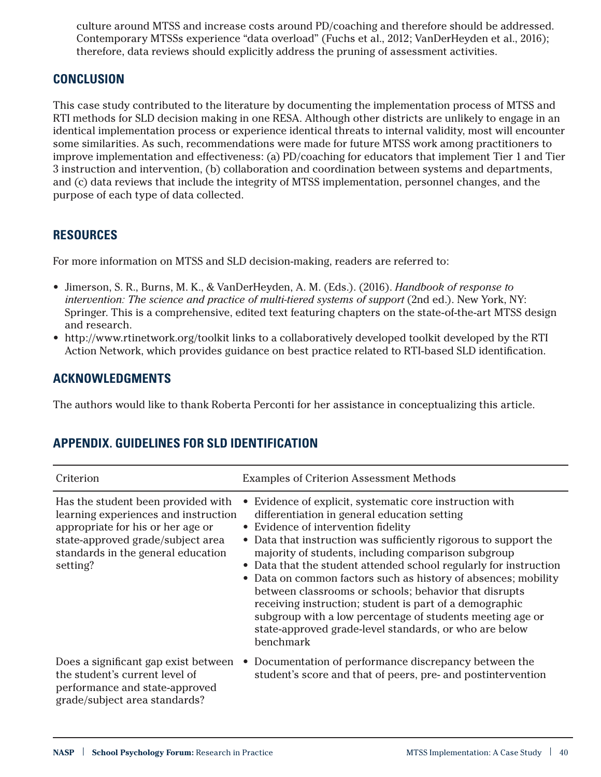culture around MTSS and increase costs around PD/coaching and therefore should be addressed. Contemporary MTSSs experience "data overload" (Fuchs et al., 2012; VanDerHeyden et al., 2016); therefore, data reviews should explicitly address the pruning of assessment activities.

## **CONCLUSION**

This case study contributed to the literature by documenting the implementation process of MTSS and RTI methods for SLD decision making in one RESA. Although other districts are unlikely to engage in an identical implementation process or experience identical threats to internal validity, most will encounter some similarities. As such, recommendations were made for future MTSS work among practitioners to improve implementation and effectiveness: (a) PD/coaching for educators that implement Tier 1 and Tier 3 instruction and intervention, (b) collaboration and coordination between systems and departments, and (c) data reviews that include the integrity of MTSS implementation, personnel changes, and the purpose of each type of data collected.

## **RESOURCES**

For more information on MTSS and SLD decision-making, readers are referred to:

- Jimerson, S. R., Burns, M. K., & VanDerHeyden, A. M. (Eds.). (2016). *Handbook of response to intervention: The science and practice of multi-tiered systems of support* (2nd ed.). New York, NY: Springer. This is a comprehensive, edited text featuring chapters on the state-of-the-art MTSS design and research.
- <http://www.rtinetwork.org/toolkit>links to a collaboratively developed toolkit developed by the RTI Action Network, which provides guidance on best practice related to RTI-based SLD identification.

## **ACKNOWLEDGMENTS**

The authors would like to thank Roberta Perconti for her assistance in conceptualizing this article.

| Criterion                                                                                                                                                                                              | <b>Examples of Criterion Assessment Methods</b>                                                                                                                                                                                                                                                                                                                                                                                                                                                                                                                                                                                                                         |
|--------------------------------------------------------------------------------------------------------------------------------------------------------------------------------------------------------|-------------------------------------------------------------------------------------------------------------------------------------------------------------------------------------------------------------------------------------------------------------------------------------------------------------------------------------------------------------------------------------------------------------------------------------------------------------------------------------------------------------------------------------------------------------------------------------------------------------------------------------------------------------------------|
| Has the student been provided with<br>learning experiences and instruction<br>appropriate for his or her age or<br>state-approved grade/subject area<br>standards in the general education<br>setting? | Evidence of explicit, systematic core instruction with<br>differentiation in general education setting<br>• Evidence of intervention fidelity<br>• Data that instruction was sufficiently rigorous to support the<br>majority of students, including comparison subgroup<br>• Data that the student attended school regularly for instruction<br>• Data on common factors such as history of absences; mobility<br>between classrooms or schools; behavior that disrupts<br>receiving instruction; student is part of a demographic<br>subgroup with a low percentage of students meeting age or<br>state-approved grade-level standards, or who are below<br>benchmark |
| Does a significant gap exist between<br>the student's current level of<br>performance and state-approved<br>grade/subject area standards?                                                              | Documentation of performance discrepancy between the<br>$\bullet$<br>student's score and that of peers, pre- and postintervention                                                                                                                                                                                                                                                                                                                                                                                                                                                                                                                                       |

# **APPENDIX. GUIDELINES FOR SLD IDENTIFICATION**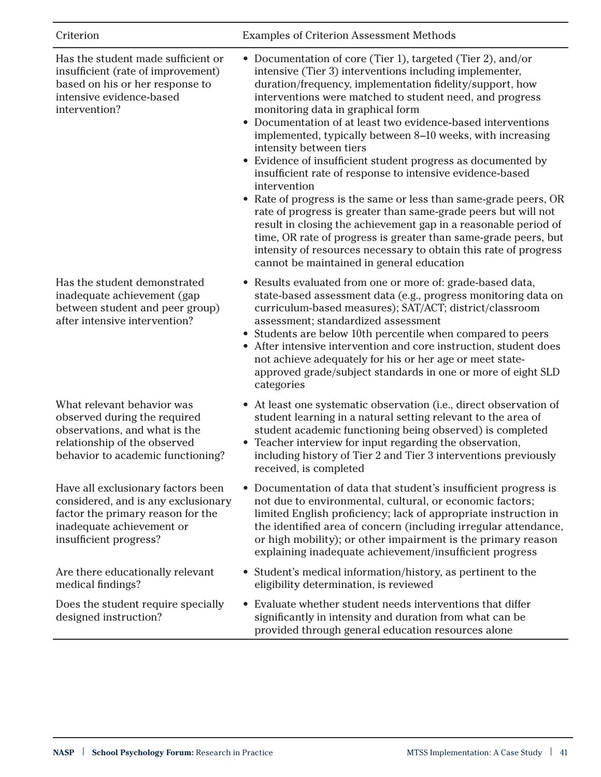Has the student made sufficient or insufficient (rate of improvement) based on his or her response to

intensive evidence-based

intervention?

Has the student demonstrated inadequate achievement (gap between student and peer group) after intensive intervention?

What relevant behavior was observed during the required observations, and what is the relationship of the observed behavior to academic functioning?

Have all exclusionary factors been considered, and is any exclusionary factor the primary reason for the inadequate achievement or insufficient progress?

Are there educationally relevant medical findings?

Does the student require specially designed instruction?

Criterion Examples of Criterion Assessment Methods

- Documentation of core (Tier 1), targeted (Tier 2), and/or intensive (Tier 3) interventions including implementer, duration/frequency, implementation fidelity/support, how interventions were matched to student need, and progress monitoring data in graphical form
- Documentation of at least two evidence-based interventions implemented, typically between 8–10 weeks, with increasing intensity between tiers
- Evidence of insufficient student progress as documented by insufficient rate of response to intensive evidence-based intervention
- Rate of progress is the same or less than same-grade peers, OR rate of progress is greater than same-grade peers but will not result in closing the achievement gap in a reasonable period of time, OR rate of progress is greater than same-grade peers, but intensity of resources necessary to obtain this rate of progress cannot be maintained in general education
- Results evaluated from one or more of: grade-based data, state-based assessment data (e.g., progress monitoring data on curriculum-based measures); SAT/ACT; district/classroom assessment; standardized assessment
- Students are below 10th percentile when compared to peers
- After intensive intervention and core instruction, student does not achieve adequately for his or her age or meet stateapproved grade/subject standards in one or more of eight SLD categories
- At least one systematic observation (i.e., direct observation of student learning in a natural setting relevant to the area of student academic functioning being observed) is completed
- Teacher interview for input regarding the observation, including history of Tier 2 and Tier 3 interventions previously received, is completed
- Documentation of data that student's insufficient progress is not due to environmental, cultural, or economic factors; limited English proficiency; lack of appropriate instruction in the identified area of concern (including irregular attendance, or high mobility); or other impairment is the primary reason explaining inadequate achievement/insufficient progress
- Student's medical information/history, as pertinent to the eligibility determination, is reviewed
- Evaluate whether student needs interventions that differ significantly in intensity and duration from what can be provided through general education resources alone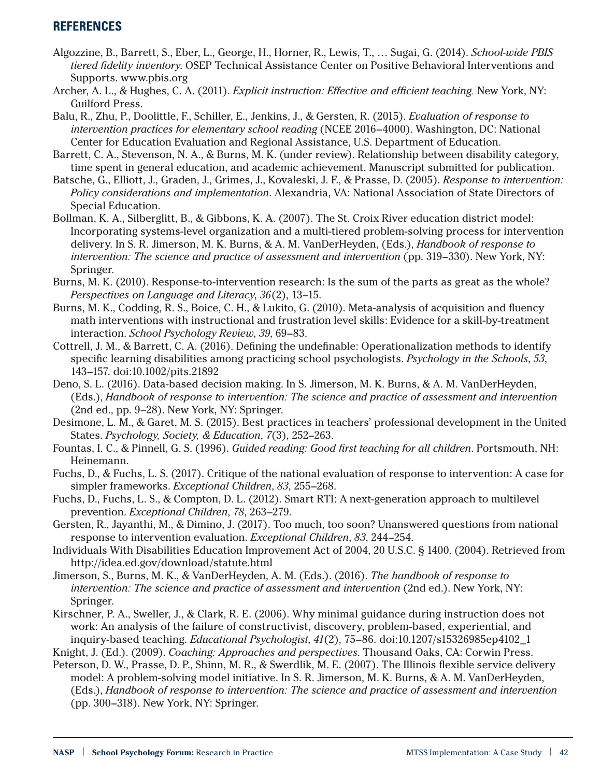## **REFERENCES**

- Algozzine, B., Barrett, S., Eber, L., George, H., Horner, R., Lewis, T., … Sugai, G. (2014). *School-wide PBIS tiered fidelity inventory*. OSEP Technical Assistance Center on Positive Behavioral Interventions and Supports. www.pbis.org
- Archer, A. L., & Hughes, C. A. (2011). *Explicit instruction: Effective and efficient teaching.* New York, NY: Guilford Press.
- Balu, R., Zhu, P., Doolittle, F., Schiller, E., Jenkins, J., & Gersten, R. (2015). *Evaluation of response to intervention practices for elementary school reading* (NCEE 2016–4000). Washington, DC: National Center for Education Evaluation and Regional Assistance, U.S. Department of Education.
- Barrett, C. A., Stevenson, N. A., & Burns, M. K. (under review). Relationship between disability category, time spent in general education, and academic achievement. Manuscript submitted for publication.
- Batsche, G., Elliott, J., Graden, J., Grimes, J., Kovaleski, J. F., & Prasse, D. (2005). *Response to intervention: Policy considerations and implementation*. Alexandria, VA: National Association of State Directors of Special Education.
- Bollman, K. A., Silberglitt, B., & Gibbons, K. A. (2007). The St. Croix River education district model: Incorporating systems-level organization and a multi-tiered problem-solving process for intervention delivery. In S. R. Jimerson, M. K. Burns, & A. M. VanDerHeyden, (Eds.), *Handbook of response to intervention: The science and practice of assessment and intervention* (pp. 319–330). New York, NY: Springer.
- Burns, M. K. (2010). Response-to-intervention research: Is the sum of the parts as great as the whole? *Perspectives on Language and Literacy*, *36*(2), 13–15.
- Burns, M. K., Codding, R. S., Boice, C. H., & Lukito, G. (2010). Meta-analysis of acquisition and fluency math interventions with instructional and frustration level skills: Evidence for a skill-by-treatment interaction. *School Psychology Review*, *39*, 69–83.
- Cottrell, J. M., & Barrett, C. A. (2016). Defining the undefinable: Operationalization methods to identify specific learning disabilities among practicing school psychologists. *Psychology in the Schools*, *53*, 143–157. doi:10.1002/pits.21892
- Deno, S. L. (2016). Data-based decision making. In S. Jimerson, M. K. Burns, & A. M. VanDerHeyden, (Eds.), *Handbook of response to intervention: The science and practice of assessment and intervention* (2nd ed., pp. 9–28). New York, NY: Springer.
- Desimone, L. M., & Garet, M. S. (2015). Best practices in teachers' professional development in the United States. *Psychology, Society, & Education*, *7*(3), 252–263.
- Fountas, I. C., & Pinnell, G. S. (1996). *Guided reading: Good first teaching for all children*. Portsmouth, NH: Heinemann.
- Fuchs, D., & Fuchs, L. S. (2017). Critique of the national evaluation of response to intervention: A case for simpler frameworks. *Exceptional Children*, *83*, 255–268.
- Fuchs, D., Fuchs, L. S., & Compton, D. L. (2012). Smart RTI: A next-generation approach to multilevel prevention. *Exceptional Children*, *78*, 263–279.
- Gersten, R., Jayanthi, M., & Dimino, J. (2017). Too much, too soon? Unanswered questions from national response to intervention evaluation. *Exceptional Children*, *83*, 244–254.
- Individuals With Disabilities Education Improvement Act of 2004, 20 U.S.C. § 1400. (2004). Retrieved from http://idea.ed.gov/download/statute.html
- Jimerson, S., Burns, M. K., & VanDerHeyden, A. M. (Eds.). (2016). *The handbook of response to intervention: The science and practice of assessment and intervention* (2nd ed.). New York, NY: Springer.
- Kirschner, P. A., Sweller, J., & Clark, R. E. (2006). Why minimal guidance during instruction does not work: An analysis of the failure of constructivist, discovery, problem-based, experiential, and inquiry-based teaching. *Educational Psychologist*, *41*(2), 75–86. doi:10.1207/s15326985ep4102\_1
- Knight, J. (Ed.). (2009). *Coaching: Approaches and perspectives*. Thousand Oaks, CA: Corwin Press.
- Peterson, D. W., Prasse, D. P., Shinn, M. R., & Swerdlik, M. E. (2007). The Illinois flexible service delivery model: A problem-solving model initiative. In S. R. Jimerson, M. K. Burns, & A. M. VanDerHeyden, (Eds.), *Handbook of response to intervention: The science and practice of assessment and intervention* (pp. 300–318). New York, NY: Springer.